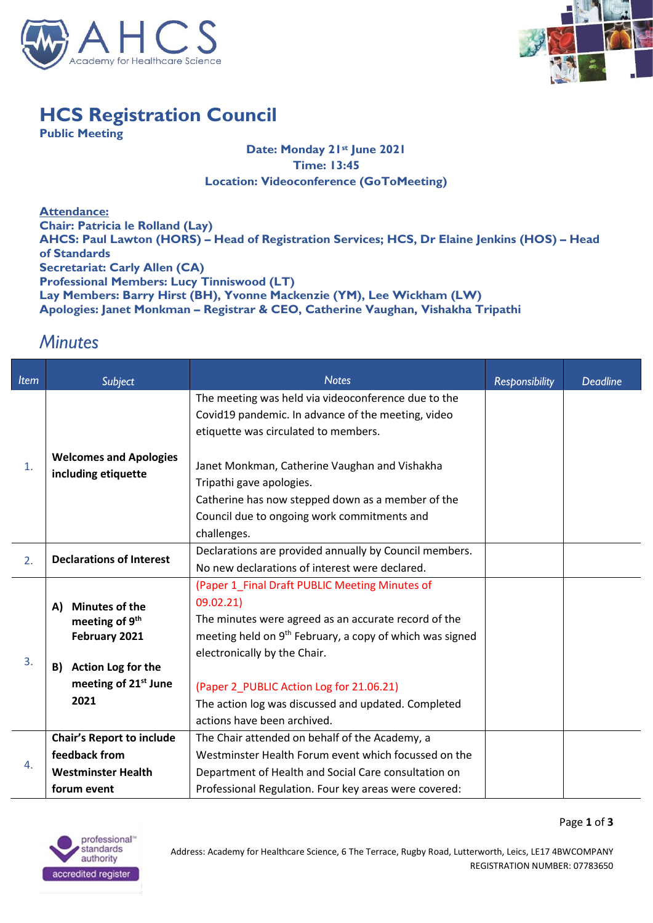



Page **1** of **3**

## **HCS Registration Council**

**Public Meeting**

## **Date: Monday 21st June 2021 Time: 13:45 Location: Videoconference (GoToMeeting)**

**Attendance: Chair: Patricia le Rolland (Lay) AHCS: Paul Lawton (HORS) – Head of Registration Services; HCS, Dr Elaine Jenkins (HOS) – Head of Standards Secretariat: Carly Allen (CA) Professional Members: Lucy Tinniswood (LT) Lay Members: Barry Hirst (BH), Yvonne Mackenzie (YM), Lee Wickham (LW) Apologies: Janet Monkman – Registrar & CEO, Catherine Vaughan, Vishakha Tripathi**

## *Minutes*

| <b>Item</b> | <b>Subject</b>                                                                                                                                     | <b>Notes</b>                                                                                                                                                                                                                                                                                                                                                  | <b>Responsibility</b> | <b>Deadline</b> |
|-------------|----------------------------------------------------------------------------------------------------------------------------------------------------|---------------------------------------------------------------------------------------------------------------------------------------------------------------------------------------------------------------------------------------------------------------------------------------------------------------------------------------------------------------|-----------------------|-----------------|
| 1.          | <b>Welcomes and Apologies</b><br>including etiquette                                                                                               | The meeting was held via videoconference due to the                                                                                                                                                                                                                                                                                                           |                       |                 |
|             |                                                                                                                                                    | Covid19 pandemic. In advance of the meeting, video                                                                                                                                                                                                                                                                                                            |                       |                 |
|             |                                                                                                                                                    | etiquette was circulated to members.                                                                                                                                                                                                                                                                                                                          |                       |                 |
|             |                                                                                                                                                    | Janet Monkman, Catherine Vaughan and Vishakha<br>Tripathi gave apologies.<br>Catherine has now stepped down as a member of the<br>Council due to ongoing work commitments and                                                                                                                                                                                 |                       |                 |
|             |                                                                                                                                                    | challenges.                                                                                                                                                                                                                                                                                                                                                   |                       |                 |
| 2.          | <b>Declarations of Interest</b>                                                                                                                    | Declarations are provided annually by Council members.                                                                                                                                                                                                                                                                                                        |                       |                 |
|             |                                                                                                                                                    | No new declarations of interest were declared.                                                                                                                                                                                                                                                                                                                |                       |                 |
| 3.          | <b>Minutes of the</b><br>A)<br>meeting of 9 <sup>th</sup><br>February 2021<br>Action Log for the<br>B)<br>meeting of 21 <sup>st</sup> June<br>2021 | (Paper 1_Final Draft PUBLIC Meeting Minutes of<br>09.02.21)<br>The minutes were agreed as an accurate record of the<br>meeting held on 9 <sup>th</sup> February, a copy of which was signed<br>electronically by the Chair.<br>(Paper 2 PUBLIC Action Log for 21.06.21)<br>The action log was discussed and updated. Completed<br>actions have been archived. |                       |                 |
| 4.          | <b>Chair's Report to include</b>                                                                                                                   | The Chair attended on behalf of the Academy, a                                                                                                                                                                                                                                                                                                                |                       |                 |
|             | feedback from                                                                                                                                      | Westminster Health Forum event which focussed on the                                                                                                                                                                                                                                                                                                          |                       |                 |
|             | <b>Westminster Health</b>                                                                                                                          | Department of Health and Social Care consultation on                                                                                                                                                                                                                                                                                                          |                       |                 |
|             | forum event                                                                                                                                        | Professional Regulation. Four key areas were covered:                                                                                                                                                                                                                                                                                                         |                       |                 |

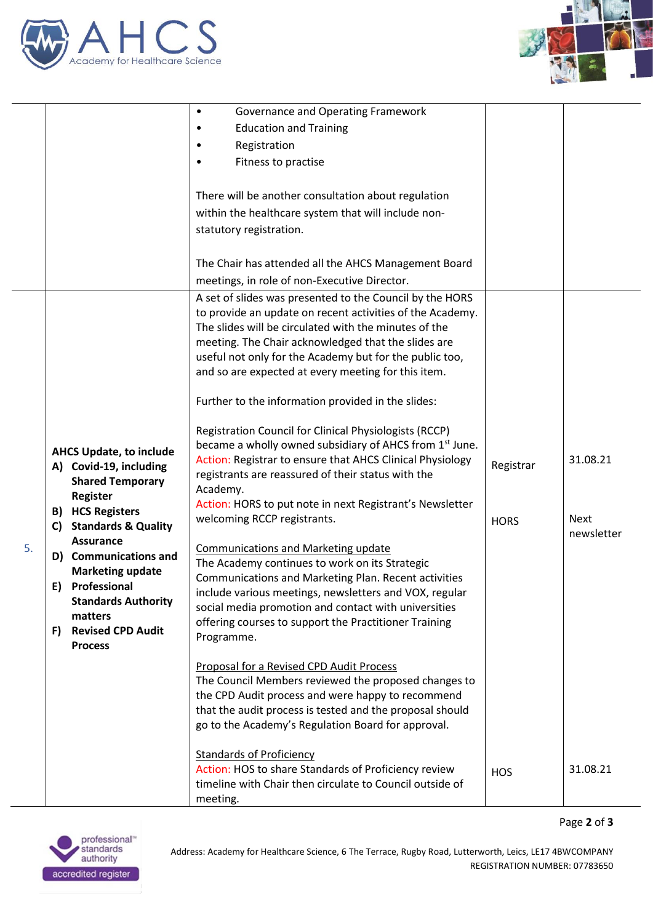



|    |                                                  | Governance and Operating Framework<br>$\bullet$                                                                |             |             |
|----|--------------------------------------------------|----------------------------------------------------------------------------------------------------------------|-------------|-------------|
|    |                                                  | <b>Education and Training</b><br>٠                                                                             |             |             |
|    |                                                  | Registration<br>٠                                                                                              |             |             |
|    |                                                  | Fitness to practise<br>٠                                                                                       |             |             |
|    |                                                  |                                                                                                                |             |             |
|    |                                                  | There will be another consultation about regulation                                                            |             |             |
|    |                                                  | within the healthcare system that will include non-                                                            |             |             |
|    |                                                  | statutory registration.                                                                                        |             |             |
|    |                                                  |                                                                                                                |             |             |
|    |                                                  | The Chair has attended all the AHCS Management Board                                                           |             |             |
|    |                                                  | meetings, in role of non-Executive Director.                                                                   |             |             |
|    |                                                  | A set of slides was presented to the Council by the HORS                                                       |             |             |
|    |                                                  | to provide an update on recent activities of the Academy.                                                      |             |             |
|    |                                                  | The slides will be circulated with the minutes of the                                                          |             |             |
|    |                                                  | meeting. The Chair acknowledged that the slides are<br>useful not only for the Academy but for the public too, |             |             |
|    |                                                  | and so are expected at every meeting for this item.                                                            |             |             |
|    |                                                  |                                                                                                                |             |             |
|    |                                                  | Further to the information provided in the slides:                                                             |             |             |
|    |                                                  | Registration Council for Clinical Physiologists (RCCP)                                                         |             |             |
|    |                                                  | became a wholly owned subsidiary of AHCS from 1 <sup>st</sup> June.                                            |             |             |
|    | <b>AHCS Update, to include</b>                   | Action: Registrar to ensure that AHCS Clinical Physiology                                                      |             | 31.08.21    |
|    | A) Covid-19, including                           | registrants are reassured of their status with the                                                             | Registrar   |             |
|    | <b>Shared Temporary</b>                          | Academy.                                                                                                       |             |             |
|    | <b>Register</b><br><b>B)</b> HCS Registers       | Action: HORS to put note in next Registrant's Newsletter                                                       |             |             |
|    | <b>Standards &amp; Quality</b><br>C)             | welcoming RCCP registrants.                                                                                    | <b>HORS</b> | <b>Next</b> |
| 5. | <b>Assurance</b>                                 | <b>Communications and Marketing update</b>                                                                     |             | newsletter  |
|    | D) Communications and                            | The Academy continues to work on its Strategic                                                                 |             |             |
|    | <b>Marketing update</b>                          | Communications and Marketing Plan. Recent activities                                                           |             |             |
|    | Professional<br>E)                               | include various meetings, newsletters and VOX, regular                                                         |             |             |
|    | <b>Standards Authority</b>                       | social media promotion and contact with universities                                                           |             |             |
|    | matters                                          | offering courses to support the Practitioner Training                                                          |             |             |
|    | <b>Revised CPD Audit</b><br>F)<br><b>Process</b> | Programme.                                                                                                     |             |             |
|    |                                                  | Proposal for a Revised CPD Audit Process                                                                       |             |             |
|    |                                                  | The Council Members reviewed the proposed changes to                                                           |             |             |
|    |                                                  | the CPD Audit process and were happy to recommend                                                              |             |             |
|    |                                                  | that the audit process is tested and the proposal should                                                       |             |             |
|    |                                                  | go to the Academy's Regulation Board for approval.                                                             |             |             |
|    |                                                  | <b>Standards of Proficiency</b>                                                                                |             |             |
|    |                                                  | Action: HOS to share Standards of Proficiency review                                                           | <b>HOS</b>  | 31.08.21    |
|    |                                                  | timeline with Chair then circulate to Council outside of                                                       |             |             |
|    |                                                  | meeting.                                                                                                       |             |             |